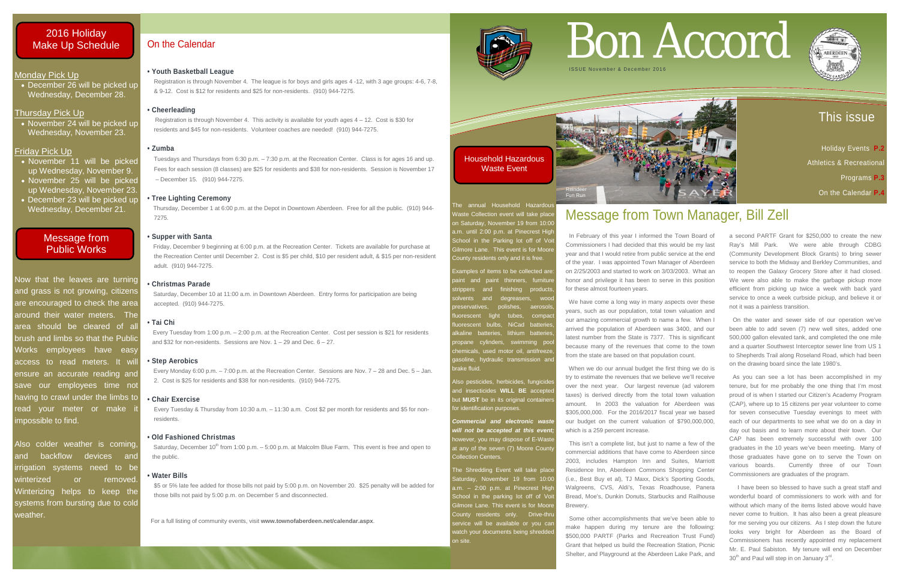### This issue

 Holiday Events **P.2**  Athletics & Recreationa Programs **P.3**  On the Calendar **P.4**

### Monday Pick Up

• November 24 will be picked up Wednesday, November 23.

• December 26 will be picked up Wednesday, December 28.

### Thursday Pick Up

### Friday Pick Up

- November 11 will be picked up Wednesday, November 9.
- November 25 will be picked up Wednesday, November 23.
- December 23 will be picked up Wednesday, December 21.

Now that the leaves are turning and grass is not growing, citizens are encouraged to check the area around their water meters. The area should be cleared of all brush and limbs so that the Public Works employees have easy access to read meters. It will ensure an accurate reading and save our employees time not having to crawl under the limbs to read your meter or make impossible to find.

The annual Household Hazardou Vaste Collection event will take place on Saturday, November 19 from 10:00 a.m. until 2:00 p.m. at Pinecrest High School in the Parking lot off of Vo Gilmore Lane. This event is for Moore County residents only and it is free.

> Examples of items to be collected are: and degreasers, woo polishes, aerosol uorescent light tubes, compad luorescent bulbs, NiCad batteries alkaline batteries, lithium batteries, ropane cylinders, swimming poo hemicals, used motor oil, antifreeze

> paint and paint thinners, furniture strippers and finishing products aasoline, hydraulic transmission and brake fluid.

Also pesticides, herbicides, fungicide and insecticides **WILL BE** accepted but **MUST** be in its original containe for identification purposes.

*Commercial and electronic waste will not be accepted at this event;* however, you may dispose of E-Waste at any of the seven (7) Moore Count

The Shredding Event will take place Saturday, November 19 from 10:00 Gilmore Lane. This event is for Moore service will be available or you car

Also colder weather is coming, and backflow devices and irrigation systems need to be winterized or removed. Winterizing helps to keep the systems from bursting due to cold weather.

Saturday, December 10 at 11:00 a.m. in Downtown Aberdeen. Entry forms for participation are being accepted. (910) 944-7275.

Every Tuesday from 1:00 p.m. – 2:00 p.m. at the Recreation Center. Cost per session is \$21 for residents and \$32 for non-residents. Sessions are Nov.  $1 - 29$  and Dec.  $6 - 27$ .

Collection Centers.

Saturday, December 10<sup>th</sup> from 1:00 p.m. - 5:00 p.m. at Malcolm Blue Farm. This event is free and open to the public.

> a.m. – 2:00 p.m. at Pinecrest High School in the parking lot off of Voit County residents only. Drive-thru vatch your documents being shredded on site.

For a full listing of community events, visit **www.townofaberdeen.net/calendar.aspx**.



## On the Calendar

### **• Youth Basketball League**

In February of this year I informed the Town Board of Commissioners I had decided that this would be my last year and that I would retire from public service at the end of the year. I was appointed Town Manager of Aberdeen on 2/25/2003 and started to work on 3/03/2003. What an honor and privilege it has been to serve in this position for these almost fourteen years.

 Registration is through November 4. The league is for boys and girls ages 4 -12, with 3 age groups: 4-6, 7-8, & 9-12. Cost is \$12 for residents and \$25 for non-residents. (910) 944-7275.

### **• Cheerleading**

 Registration is through November 4. This activity is available for youth ages 4 – 12. Cost is \$30 for residents and \$45 for non-residents. Volunteer coaches are needed! (910) 944-7275.

### **• Zumba**

Tuesdays and Thursdays from 6:30 p.m. – 7:30 p.m. at the Recreation Center. Class is for ages 16 and up. Fees for each session (8 classes) are \$25 for residents and \$38 for non-residents. Session is November 17 – December 15. (910) 944-7275.

### **• Tree Lighting Ceremony**

Thursday, December 1 at 6:00 p.m. at the Depot in Downtown Aberdeen. Free for all the public. (910) 944- 7275.

### **• Supper with Santa**

Friday, December 9 beginning at 6:00 p.m. at the Recreation Center. Tickets are available for purchase at the Recreation Center until December 2. Cost is \$5 per child, \$10 per resident adult, & \$15 per non-resident adult. (910) 944-7275.

### **• Christmas Parade**

### **• Tai Chi**

### **• Step Aerobics**

 I have been so blessed to have such a great staff and wonderful board of commissioners to work with and for without which many of the items listed above would have never come to fruition. It has also been a great pleasure for me serving you our citizens. As I step down the future looks very bright for Aberdeen as the Board of Commissioners has recently appointed my replacement Mr. E. Paul Sabiston. My tenure will end on December  $30<sup>th</sup>$  and Paul will step in on January  $3<sup>rd</sup>$ .

 Every Monday 6:00 p.m. – 7:00 p.m. at the Recreation Center. Sessions are Nov. 7 – 28 and Dec. 5 – Jan. 2. Cost is \$25 for residents and \$38 for non-residents. (910) 944-7275.

### **• Chair Exercise**

 Every Tuesday & Thursday from 10:30 a.m. – 11:30 a.m. Cost \$2 per month for residents and \$5 for non residents.

### **• Old Fashioned Christmas**

### **• Water Bills**

\$5 or 5% late fee added for those bills not paid by 5:00 p.m. on November 20. \$25 penalty will be added for those bills not paid by 5:00 p.m. on December 5 and disconnected.

# Bon Accord



## Message from Town Manager, Bill Zell

 We have come a long way in many aspects over these years, such as our population, total town valuation and our amazing commercial growth to name a few. When I arrived the population of Aberdeen was 3400, and our latest number from the State is 7377. This is significant because many of the revenues that come to the town from the state are based on that population count.

 When we do our annual budget the first thing we do is try to estimate the revenues that we believe we'll receive over the next year. Our largest revenue (ad valorem taxes) is derived directly from the total town valuation amount. In 2003 the valuation for Aberdeen was \$305,000,000. For the 2016/2017 fiscal year we based our budget on the current valuation of \$790,000,000, which is a 259 percent increase.

 This isn't a complete list, but just to name a few of the commercial additions that have come to Aberdeen since 2003, includes Hampton Inn and Suites, Marriott Residence Inn, Aberdeen Commons Shopping Center (i.e., Best Buy et al), TJ Maxx, Dick's Sporting Goods, Walgreens, CVS, Aldi's, Texas Roadhouse, Panera Bread, Moe's, Dunkin Donuts, Starbucks and Railhouse Brewery.

 Some other accomplishments that we've been able to make happen during my tenure are the following: \$500,000 PARTF (Parks and Recreation Trust Fund) Grant that helped us build the Recreation Station, Picnic Shelter, and Playground at the Aberdeen Lake Park, and

a second PARTF Grant for \$250,000 to create the new Ray's Mill Park. We were able through CDBG (Community Development Block Grants) to bring sewer service to both the Midway and Berkley Communities, and to reopen the Galaxy Grocery Store after it had closed. We were also able to make the garbage pickup more efficient from picking up twice a week with back yard service to once a week curbside pickup, and believe it or not it was a painless transition.

 On the water and sewer side of our operation we've been able to add seven (7) new well sites, added one 500,000 gallon elevated tank, and completed the one mile and a quarter Southwest Interceptor sewer line from US 1 to Shepherds Trail along Roseland Road, which had been on the drawing board since the late 1980's.

 As you can see a lot has been accomplished in my tenure, but for me probably the one thing that I'm most proud of is when I started our Citizen's Academy Program (CAP), where up to 15 citizens per year volunteer to come for seven consecutive Tuesday evenings to meet with each of our departments to see what we do on a day in day out basis and to learn more about their town. Our CAP has been extremely successful with over 100 graduates in the 10 years we've been meeting. Many of those graduates have gone on to serve the Town on various boards. Currently three of our Town Commissioners are graduates of the program.



Household Hazardous Waste Event

### 2016 Holiday Make Up Schedule



### Message from Public Works